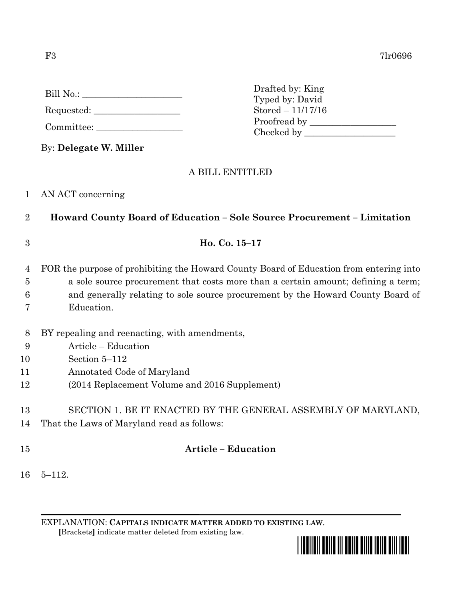F3 7lr0696

| Bill No.: |  |  |
|-----------|--|--|
|           |  |  |

Requested: \_\_\_\_\_\_\_\_\_\_\_\_\_\_\_\_\_\_\_

Committee: \_\_\_\_\_\_\_\_\_\_\_\_\_\_\_\_\_\_\_

By: **Delegate W. Miller**

# A BILL ENTITLED

Drafted by: King Typed by: David Stored – 11/17/16

Proofread by Checked by \_\_\_\_\_\_\_\_\_\_\_\_\_\_\_\_\_\_\_\_

## 1 AN ACT concerning

2 **Howard County Board of Education – Sole Source Procurement – Limitation**

3 **Ho. Co. 15–17**

4 FOR the purpose of prohibiting the Howard County Board of Education from entering into 5 a sole source procurement that costs more than a certain amount; defining a term; 6 and generally relating to sole source procurement by the Howard County Board of

- 7 Education.
- 8 BY repealing and reenacting, with amendments,
- 9 Article Education
- 10 Section 5–112
- 11 Annotated Code of Maryland
- 12 (2014 Replacement Volume and 2016 Supplement)

13 SECTION 1. BE IT ENACTED BY THE GENERAL ASSEMBLY OF MARYLAND,

- 14 That the Laws of Maryland read as follows:
- 

# 15 **Article – Education**

16 5–112.

EXPLANATION: **CAPITALS INDICATE MATTER ADDED TO EXISTING LAW**.  **[**Brackets**]** indicate matter deleted from existing law.

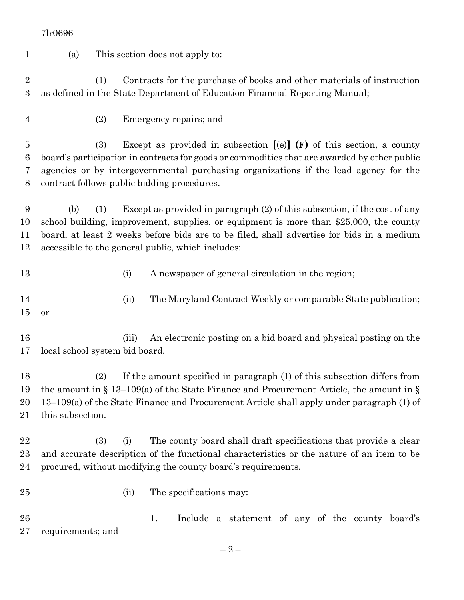(a) This section does not apply to: (1) Contracts for the purchase of books and other materials of instruction as defined in the State Department of Education Financial Reporting Manual; (2) Emergency repairs; and (3) Except as provided in subsection **[**(e)**] (F)** of this section, a county board's participation in contracts for goods or commodities that are awarded by other public agencies or by intergovernmental purchasing organizations if the lead agency for the contract follows public bidding procedures. (b) (1) Except as provided in paragraph (2) of this subsection, if the cost of any school building, improvement, supplies, or equipment is more than \$25,000, the county board, at least 2 weeks before bids are to be filed, shall advertise for bids in a medium accessible to the general public, which includes: 13 (i) A newspaper of general circulation in the region; 14 (ii) The Maryland Contract Weekly or comparable State publication; or (iii) An electronic posting on a bid board and physical posting on the local school system bid board. (2) If the amount specified in paragraph (1) of this subsection differs from the amount in § 13–109(a) of the State Finance and Procurement Article, the amount in § 13–109(a) of the State Finance and Procurement Article shall apply under paragraph (1) of this subsection. (3) (i) The county board shall draft specifications that provide a clear and accurate description of the functional characteristics or the nature of an item to be procured, without modifying the county board's requirements. 25 (ii) The specifications may: 1. Include a statement of any of the county board's requirements; and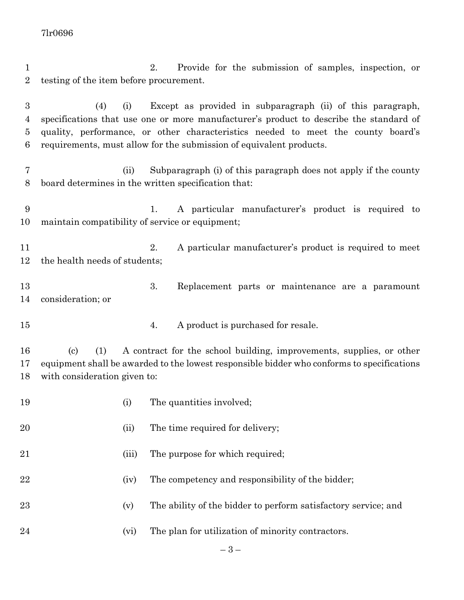2. Provide for the submission of samples, inspection, or testing of the item before procurement.

 (4) (i) Except as provided in subparagraph (ii) of this paragraph, specifications that use one or more manufacturer's product to describe the standard of quality, performance, or other characteristics needed to meet the county board's requirements, must allow for the submission of equivalent products.

 (ii) Subparagraph (i) of this paragraph does not apply if the county board determines in the written specification that:

 1. A particular manufacturer's product is required to maintain compatibility of service or equipment;

 2. A particular manufacturer's product is required to meet the health needs of students;

 3. Replacement parts or maintenance are a paramount consideration; or

4. A product is purchased for resale.

 (c) (1) A contract for the school building, improvements, supplies, or other equipment shall be awarded to the lowest responsible bidder who conforms to specifications with consideration given to:

| 19 | (i)   | The quantities involved;                                       |
|----|-------|----------------------------------------------------------------|
| 20 | (ii)  | The time required for delivery;                                |
| 21 | (iii) | The purpose for which required;                                |
| 22 | (iv)  | The competency and responsibility of the bidder;               |
| 23 | (v)   | The ability of the bidder to perform satisfactory service; and |
| 24 | (vi)  | The plan for utilization of minority contractors.              |
|    |       |                                                                |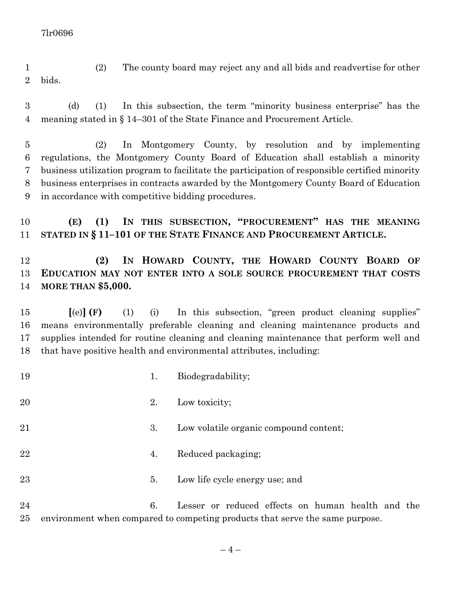- (2) The county board may reject any and all bids and readvertise for other bids.
- (d) (1) In this subsection, the term "minority business enterprise" has the meaning stated in § 14–301 of the State Finance and Procurement Article.

 (2) In Montgomery County, by resolution and by implementing regulations, the Montgomery County Board of Education shall establish a minority business utilization program to facilitate the participation of responsible certified minority business enterprises in contracts awarded by the Montgomery County Board of Education in accordance with competitive bidding procedures.

 **(E) (1) IN THIS SUBSECTION, "PROCUREMENT" HAS THE MEANING STATED IN § 11–101 OF THE STATE FINANCE AND PROCUREMENT ARTICLE.**

## **(2) IN HOWARD COUNTY, THE HOWARD COUNTY BOARD OF EDUCATION MAY NOT ENTER INTO A SOLE SOURCE PROCUREMENT THAT COSTS MORE THAN \$5,000.**

 **[**(e)**] (F)** (1) (i) In this subsection, "green product cleaning supplies" means environmentally preferable cleaning and cleaning maintenance products and supplies intended for routine cleaning and cleaning maintenance that perform well and that have positive health and environmental attributes, including:

- 19 1. Biodegradability;
- 20 2. Low toxicity;
- 21 3. Low volatile organic compound content;
- 22 4. Reduced packaging;
- 5. Low life cycle energy use; and

 6. Lesser or reduced effects on human health and the environment when compared to competing products that serve the same purpose.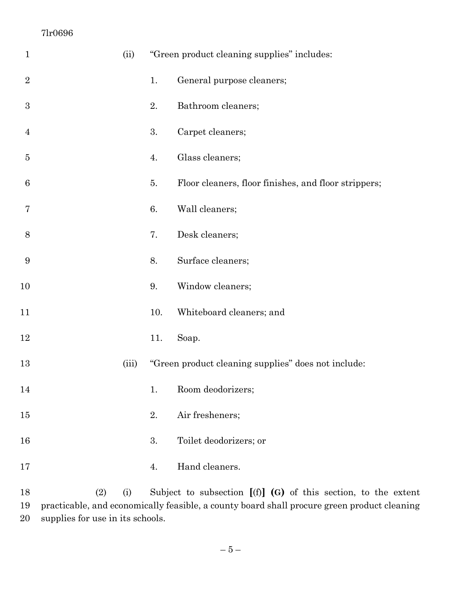| $\mathbf{1}$     |     | (ii)                   |     | "Green product cleaning supplies" includes:                |
|------------------|-----|------------------------|-----|------------------------------------------------------------|
| $\overline{2}$   |     |                        | 1.  | General purpose cleaners;                                  |
| $\boldsymbol{3}$ |     |                        | 2.  | Bathroom cleaners;                                         |
| $\overline{4}$   |     |                        | 3.  | Carpet cleaners;                                           |
| 5                |     |                        | 4.  | Glass cleaners;                                            |
| $6\phantom{.}6$  |     |                        | 5.  | Floor cleaners, floor finishes, and floor strippers;       |
| 7                |     |                        | 6.  | Wall cleaners;                                             |
| 8                |     |                        | 7.  | Desk cleaners;                                             |
| 9                |     |                        | 8.  | Surface cleaners;                                          |
| 10               |     |                        | 9.  | Window cleaners;                                           |
| 11               |     |                        | 10. | Whiteboard cleaners; and                                   |
| 12               |     |                        | 11. | Soap.                                                      |
| 13               |     | (iii)                  |     | "Green product cleaning supplies" does not include:        |
| 14               |     |                        | 1.  | Room deodorizers;                                          |
| 15               |     |                        | 2.  | Air fresheners;                                            |
| 16               |     |                        | 3.  | Toilet deodorizers; or                                     |
| 17               |     |                        | 4.  | Hand cleaners.                                             |
| 1Q               | 79) | $\left( \cdot \right)$ |     | Subject to subsection $[(f)]$ $(f)$ of this section to the |

 (2) (i) Subject to subsection **[**(f)**] (G)** of this section, to the extent practicable, and economically feasible, a county board shall procure green product cleaning supplies for use in its schools.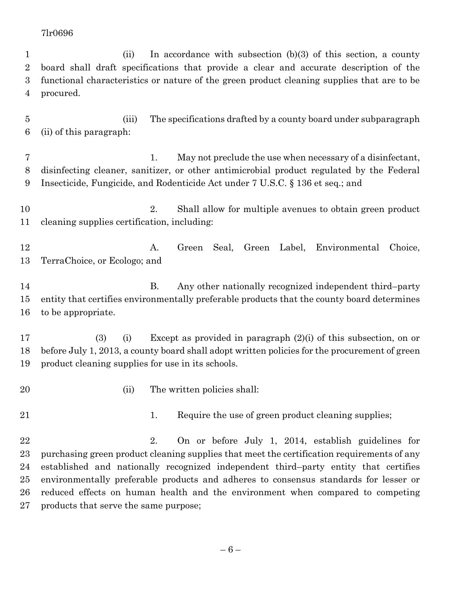(ii) In accordance with subsection (b)(3) of this section, a county board shall draft specifications that provide a clear and accurate description of the functional characteristics or nature of the green product cleaning supplies that are to be procured.

 (iii) The specifications drafted by a county board under subparagraph (ii) of this paragraph:

 1. May not preclude the use when necessary of a disinfectant, disinfecting cleaner, sanitizer, or other antimicrobial product regulated by the Federal Insecticide, Fungicide, and Rodenticide Act under 7 U.S.C. § 136 et seq.; and

 2. Shall allow for multiple avenues to obtain green product cleaning supplies certification, including:

 A. Green Seal, Green Label, Environmental Choice, TerraChoice, or Ecologo; and

14 B. Any other nationally recognized independent third–party entity that certifies environmentally preferable products that the county board determines to be appropriate.

 (3) (i) Except as provided in paragraph (2)(i) of this subsection, on or before July 1, 2013, a county board shall adopt written policies for the procurement of green product cleaning supplies for use in its schools.

- 
- 20 (ii) The written policies shall:

21 1. Require the use of green product cleaning supplies;

 2. On or before July 1, 2014, establish guidelines for purchasing green product cleaning supplies that meet the certification requirements of any established and nationally recognized independent third–party entity that certifies environmentally preferable products and adheres to consensus standards for lesser or reduced effects on human health and the environment when compared to competing products that serve the same purpose;